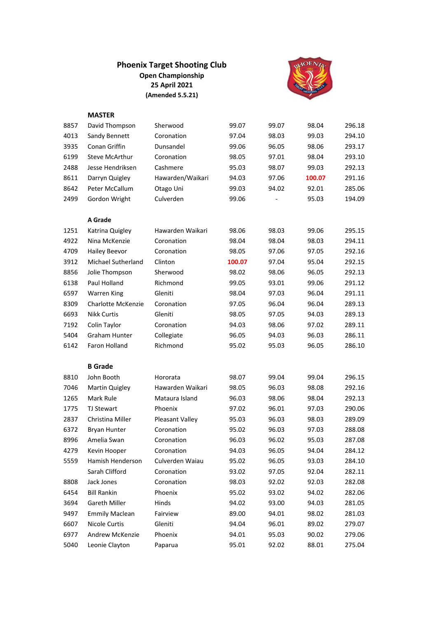## **Phoenix Target Shooting Club Open Championship 25 April 2021 (Amended 5.5.21)**



## **MASTER**

| 8857 | David Thompson            | Sherwood         | 99.07  | 99.07 | 98.04  | 296.18 |
|------|---------------------------|------------------|--------|-------|--------|--------|
| 4013 | Sandy Bennett             | Coronation       | 97.04  | 98.03 | 99.03  | 294.10 |
| 3935 | Conan Griffin             | Dunsandel        | 99.06  | 96.05 | 98.06  | 293.17 |
| 6199 | <b>Steve McArthur</b>     | Coronation       | 98.05  | 97.01 | 98.04  | 293.10 |
| 2488 | Jesse Hendriksen          | Cashmere         | 95.03  | 98.07 | 99.03  | 292.13 |
| 8611 | Darryn Quigley            | Hawarden/Waikari | 94.03  | 97.06 | 100.07 | 291.16 |
| 8642 | Peter McCallum            | Otago Uni        | 99.03  | 94.02 | 92.01  | 285.06 |
| 2499 | Gordon Wright             | Culverden        | 99.06  |       | 95.03  | 194.09 |
|      |                           |                  |        |       |        |        |
|      | A Grade                   |                  |        |       |        |        |
| 1251 | Katrina Quigley           | Hawarden Waikari | 98.06  | 98.03 | 99.06  | 295.15 |
| 4922 | Nina McKenzie             | Coronation       | 98.04  | 98.04 | 98.03  | 294.11 |
| 4709 | <b>Hailey Beevor</b>      | Coronation       | 98.05  | 97.06 | 97.05  | 292.16 |
| 3912 | <b>Michael Sutherland</b> | Clinton          | 100.07 | 97.04 | 95.04  | 292.15 |
| 8856 | Jolie Thompson            | Sherwood         | 98.02  | 98.06 | 96.05  | 292.13 |
| 6138 | Paul Holland              | Richmond         | 99.05  | 93.01 | 99.06  | 291.12 |
| 6597 | <b>Warren King</b>        | Gleniti          | 98.04  | 97.03 | 96.04  | 291.11 |
| 8309 | Charlotte McKenzie        | Coronation       | 97.05  | 96.04 | 96.04  | 289.13 |
| 6693 | <b>Nikk Curtis</b>        | Gleniti          | 98.05  | 97.05 | 94.03  | 289.13 |
| 7192 | Colin Taylor              | Coronation       | 94.03  | 98.06 | 97.02  | 289.11 |
| 5404 | <b>Graham Hunter</b>      | Collegiate       | 96.05  | 94.03 | 96.03  | 286.11 |
| 6142 | Faron Holland             | Richmond         | 95.02  | 95.03 | 96.05  | 286.10 |
|      |                           |                  |        |       |        |        |
|      | <b>B</b> Grade            |                  |        |       |        |        |
| 8810 | John Booth                | Hororata         | 98.07  | 99.04 | 99.04  | 296.15 |
| 7046 | Martin Quigley            | Hawarden Waikari | 98.05  | 96.03 | 98.08  | 292.16 |
| 1265 | Mark Rule                 | Mataura Island   | 96.03  | 98.06 | 98.04  | 292.13 |
| 1775 | <b>TJ Stewart</b>         | Phoenix          | 97.02  | 96.01 | 97.03  | 290.06 |
| 2837 | Christina Miller          | Pleasant Valley  | 95.03  | 96.03 | 98.03  | 289.09 |
| 6372 | <b>Bryan Hunter</b>       | Coronation       | 95.02  | 96.03 | 97.03  | 288.08 |
| 8996 | Amelia Swan               | Coronation       | 96.03  | 96.02 | 95.03  | 287.08 |
| 4279 | Kevin Hooper              | Coronation       | 94.03  | 96.05 | 94.04  | 284.12 |
| 5559 | Hamish Henderson          | Culverden Waiau  | 95.02  | 96.05 | 93.03  | 284.10 |
|      | Sarah Clifford            | Coronation       | 93.02  | 97.05 | 92.04  | 282.11 |
| 8808 | Jack Jones                | Coronation       | 98.03  | 92.02 | 92.03  | 282.08 |
| 6454 | <b>Bill Rankin</b>        | Phoenix          | 95.02  | 93.02 | 94.02  | 282.06 |
|      |                           |                  |        |       | 94.03  | 281.05 |
| 3694 | Gareth Miller             | Hinds            | 94.02  | 93.00 |        |        |
| 9497 | <b>Emmily Maclean</b>     | Fairview         | 89.00  | 94.01 | 98.02  | 281.03 |
| 6607 | <b>Nicole Curtis</b>      | Gleniti          | 94.04  | 96.01 | 89.02  | 279.07 |
| 6977 | Andrew McKenzie           | Phoenix          | 94.01  | 95.03 | 90.02  | 279.06 |